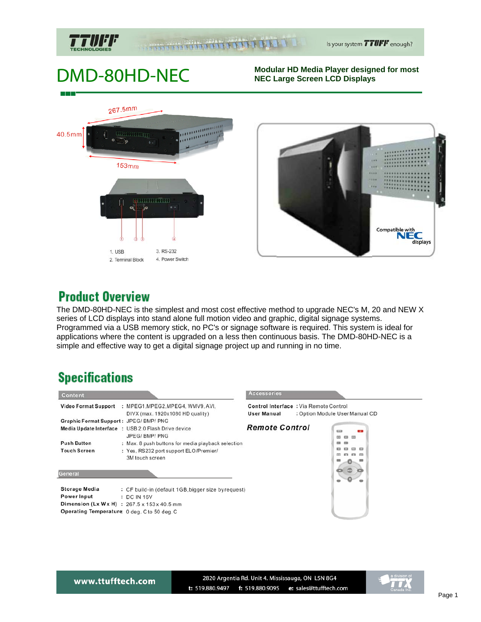

#### **The Communistration**

# DMD-80HD-NEC

#### **Modular HD Media Player designed for most NEC Large Screen LCD Displays**





### **Product Overview**

The DMD-80HD-NEC is the simplest and most cost effective method to upgrade NEC's M, 20 and NEW X series of LCD displays into stand alone full motion video and graphic, digital signage systems. Programmed via a USB memory stick, no PC's or signage software is required. This system is ideal for applications where the content is upgraded on a less then continuous basis. The DMD-80HD-NEC is a simple and effective way to get a digital signage project up and running in no time.

## **Specifications**

| Content                                                                           |                                                                                                                                                                                        | <b>Accessories</b>                                           |                                       |
|-----------------------------------------------------------------------------------|----------------------------------------------------------------------------------------------------------------------------------------------------------------------------------------|--------------------------------------------------------------|---------------------------------------|
|                                                                                   | Video Format Support : MPEG1, MPEG2, MPEG4, WMV9, AVI,<br>DIVX (max. 1920x1080 HD quality)                                                                                             | Control Interface : Via Remote Control<br><b>User Manual</b> | : Option Module UserManual CD         |
| Graphic Format Support: JPEG/BMP/PNG<br><b>Push Button</b><br><b>Touch Screen</b> | Media Update Interface : USB 2.0 Flash Drive device<br>JPEG/BMP/PNG<br>: Max. 8 push buttons for media playback selection<br>: Yes, RS232 port support ELO/Premier/<br>3M touch screen | <b>Remote Control</b>                                        | $\equiv$<br><b>CO</b><br>--<br>$\sim$ |
| General                                                                           |                                                                                                                                                                                        |                                                              |                                       |
| <b>Storage Media</b><br>Power Input                                               | : CF build-in (default 1GB, bigger size byrequest)<br>: DC IN 16V<br>Dimension $\mu$ will will a $\alpha$ $\tau$ $\tau$ $\ldots$ $\alpha$ $\tau$ $\ldots$ $\alpha$                     |                                                              |                                       |

**Dimension (Lx Wx H)** :  $267.5 \times 153 \times 40.5$  mm Operating Temperature 0 deg. C to 50 deg. C

www.ttufftech.com